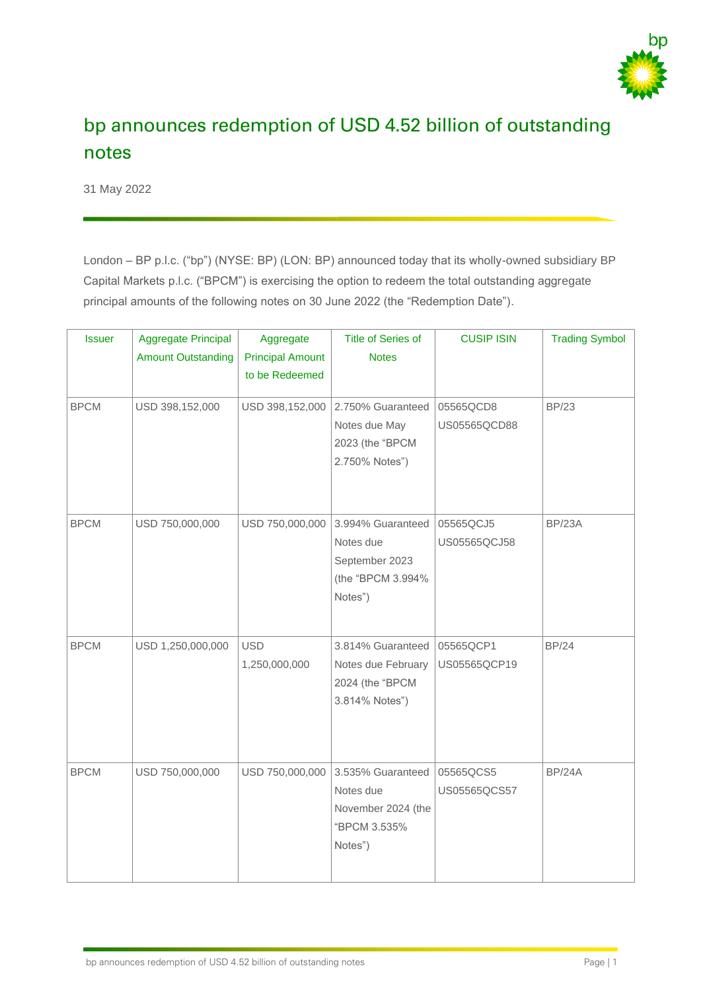

## bp announces redemption of USD 4.52 billion of outstanding notes

31 May 2022

London – BP p.l.c. ("bp") (NYSE: BP) (LON: BP) announced today that its wholly-owned subsidiary BP Capital Markets p.l.c. ("BPCM") is exercising the option to redeem the total outstanding aggregate principal amounts of the following notes on 30 June 2022 (the "Redemption Date").

| <b>Issuer</b> | <b>Aggregate Principal</b> | Aggregate                                 | <b>Title of Series of</b> | <b>CUSIP ISIN</b> | <b>Trading Symbol</b> |
|---------------|----------------------------|-------------------------------------------|---------------------------|-------------------|-----------------------|
|               | <b>Amount Outstanding</b>  | <b>Principal Amount</b><br>to be Redeemed | <b>Notes</b>              |                   |                       |
|               |                            |                                           |                           |                   |                       |
| <b>BPCM</b>   | USD 398,152,000            | USD 398,152,000                           | 2.750% Guaranteed         | 05565QCD8         | <b>BP/23</b>          |
|               |                            |                                           | Notes due May             | US05565QCD88      |                       |
|               |                            |                                           | 2023 (the "BPCM           |                   |                       |
|               |                            |                                           | 2.750% Notes")            |                   |                       |
|               |                            |                                           |                           |                   |                       |
| <b>BPCM</b>   | USD 750,000,000            | USD 750,000,000                           | 3.994% Guaranteed         | 05565QCJ5         | <b>BP/23A</b>         |
|               |                            |                                           | Notes due                 | US05565QCJ58      |                       |
|               |                            |                                           | September 2023            |                   |                       |
|               |                            |                                           | (the "BPCM 3.994%         |                   |                       |
|               |                            |                                           | Notes")                   |                   |                       |
|               |                            |                                           |                           |                   |                       |
| <b>BPCM</b>   | USD 1,250,000,000          | <b>USD</b>                                | 3.814% Guaranteed         | 05565QCP1         | <b>BP/24</b>          |
|               |                            | 1,250,000,000                             | Notes due February        | US05565QCP19      |                       |
|               |                            |                                           | 2024 (the "BPCM           |                   |                       |
|               |                            |                                           | 3.814% Notes")            |                   |                       |
|               |                            |                                           |                           |                   |                       |
|               |                            |                                           |                           |                   |                       |
| <b>BPCM</b>   | USD 750,000,000            | USD 750,000,000                           | 3.535% Guaranteed         | 05565QCS5         | <b>BP/24A</b>         |
|               |                            |                                           | Notes due                 | US05565QCS57      |                       |
|               |                            |                                           | November 2024 (the        |                   |                       |
|               |                            |                                           | "BPCM 3.535%              |                   |                       |
|               |                            |                                           | Notes")                   |                   |                       |
|               |                            |                                           |                           |                   |                       |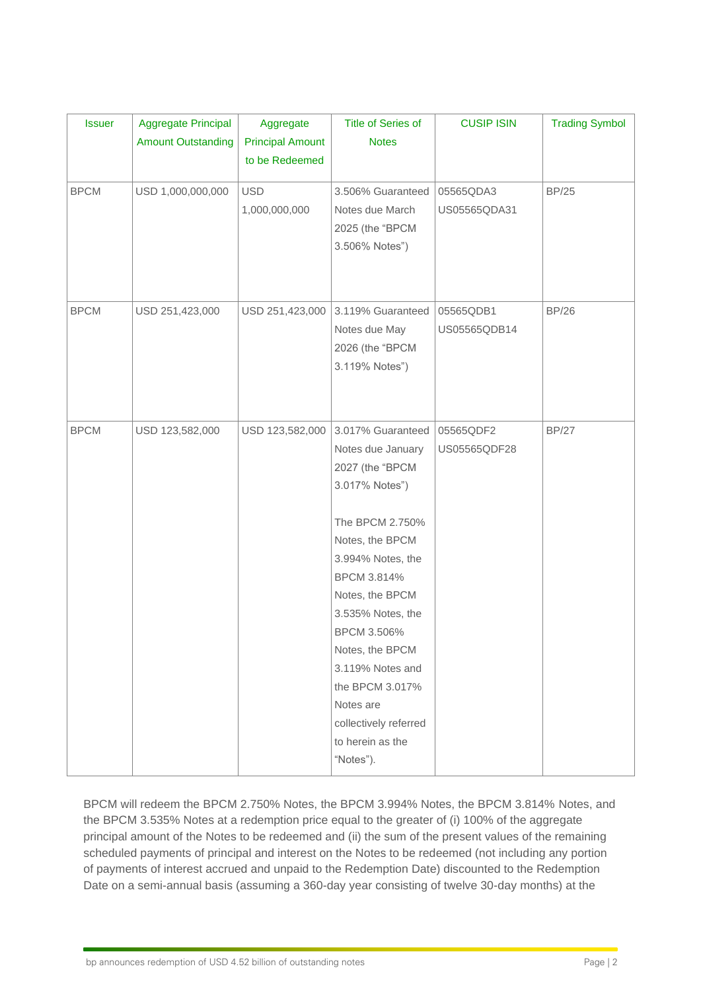| <b>Issuer</b> | <b>Aggregate Principal</b> | Aggregate               | <b>Title of Series of</b> | <b>CUSIP ISIN</b> | <b>Trading Symbol</b> |
|---------------|----------------------------|-------------------------|---------------------------|-------------------|-----------------------|
|               | <b>Amount Outstanding</b>  | <b>Principal Amount</b> | <b>Notes</b>              |                   |                       |
|               |                            | to be Redeemed          |                           |                   |                       |
| <b>BPCM</b>   | USD 1,000,000,000          | <b>USD</b>              | 3.506% Guaranteed         | 05565QDA3         | <b>BP/25</b>          |
|               |                            | 1,000,000,000           | Notes due March           | US05565QDA31      |                       |
|               |                            |                         | 2025 (the "BPCM           |                   |                       |
|               |                            |                         | 3.506% Notes")            |                   |                       |
|               |                            |                         |                           |                   |                       |
|               |                            |                         |                           |                   |                       |
| <b>BPCM</b>   | USD 251,423,000            | USD 251,423,000         | 3.119% Guaranteed         | 05565QDB1         | <b>BP/26</b>          |
|               |                            |                         | Notes due May             | US05565QDB14      |                       |
|               |                            |                         | 2026 (the "BPCM           |                   |                       |
|               |                            |                         | 3.119% Notes")            |                   |                       |
|               |                            |                         |                           |                   |                       |
|               |                            |                         |                           |                   |                       |
| <b>BPCM</b>   | USD 123,582,000            | USD 123,582,000         | 3.017% Guaranteed         | 05565QDF2         | <b>BP/27</b>          |
|               |                            |                         | Notes due January         | US05565QDF28      |                       |
|               |                            |                         | 2027 (the "BPCM           |                   |                       |
|               |                            |                         | 3.017% Notes")            |                   |                       |
|               |                            |                         |                           |                   |                       |
|               |                            |                         | The BPCM 2.750%           |                   |                       |
|               |                            |                         | Notes, the BPCM           |                   |                       |
|               |                            |                         | 3.994% Notes, the         |                   |                       |
|               |                            |                         | BPCM 3.814%               |                   |                       |
|               |                            |                         | Notes, the BPCM           |                   |                       |
|               |                            |                         | 3.535% Notes, the         |                   |                       |
|               |                            |                         | BPCM 3.506%               |                   |                       |
|               |                            |                         | Notes, the BPCM           |                   |                       |
|               |                            |                         | 3.119% Notes and          |                   |                       |
|               |                            |                         | the BPCM 3.017%           |                   |                       |
|               |                            |                         | Notes are                 |                   |                       |
|               |                            |                         | collectively referred     |                   |                       |
|               |                            |                         | to herein as the          |                   |                       |
|               |                            |                         | "Notes").                 |                   |                       |

BPCM will redeem the BPCM 2.750% Notes, the BPCM 3.994% Notes, the BPCM 3.814% Notes, and the BPCM 3.535% Notes at a redemption price equal to the greater of (i) 100% of the aggregate principal amount of the Notes to be redeemed and (ii) the sum of the present values of the remaining scheduled payments of principal and interest on the Notes to be redeemed (not including any portion of payments of interest accrued and unpaid to the Redemption Date) discounted to the Redemption Date on a semi-annual basis (assuming a 360-day year consisting of twelve 30-day months) at the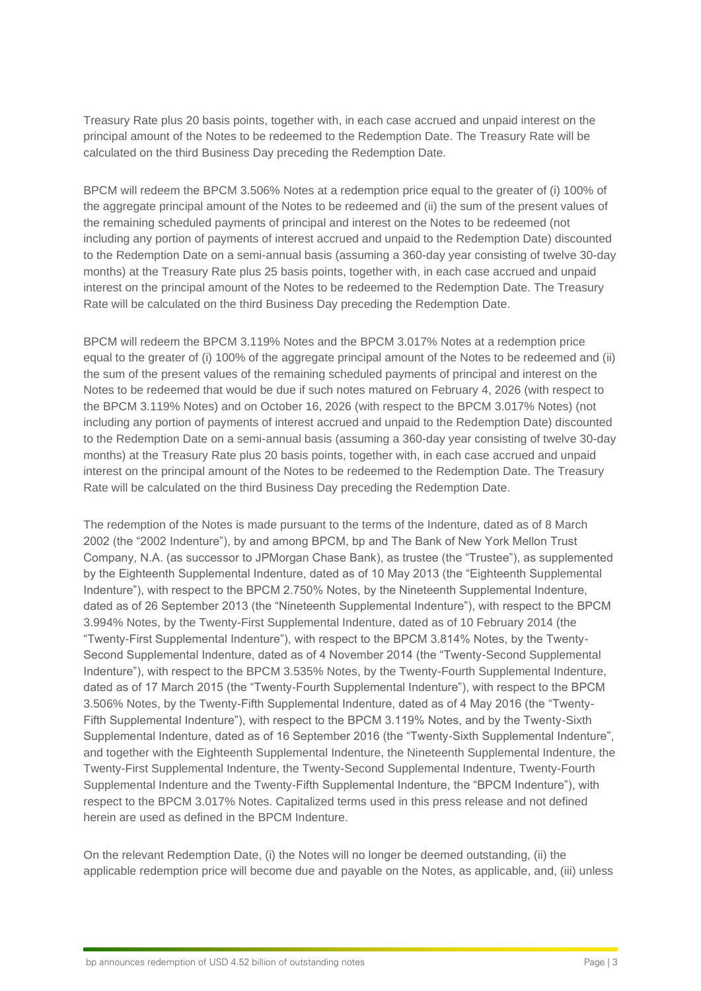Treasury Rate plus 20 basis points, together with, in each case accrued and unpaid interest on the principal amount of the Notes to be redeemed to the Redemption Date. The Treasury Rate will be calculated on the third Business Day preceding the Redemption Date.

BPCM will redeem the BPCM 3.506% Notes at a redemption price equal to the greater of (i) 100% of the aggregate principal amount of the Notes to be redeemed and (ii) the sum of the present values of the remaining scheduled payments of principal and interest on the Notes to be redeemed (not including any portion of payments of interest accrued and unpaid to the Redemption Date) discounted to the Redemption Date on a semi-annual basis (assuming a 360-day year consisting of twelve 30-day months) at the Treasury Rate plus 25 basis points, together with, in each case accrued and unpaid interest on the principal amount of the Notes to be redeemed to the Redemption Date. The Treasury Rate will be calculated on the third Business Day preceding the Redemption Date.

BPCM will redeem the BPCM 3.119% Notes and the BPCM 3.017% Notes at a redemption price equal to the greater of (i) 100% of the aggregate principal amount of the Notes to be redeemed and (ii) the sum of the present values of the remaining scheduled payments of principal and interest on the Notes to be redeemed that would be due if such notes matured on February 4, 2026 (with respect to the BPCM 3.119% Notes) and on October 16, 2026 (with respect to the BPCM 3.017% Notes) (not including any portion of payments of interest accrued and unpaid to the Redemption Date) discounted to the Redemption Date on a semi-annual basis (assuming a 360-day year consisting of twelve 30-day months) at the Treasury Rate plus 20 basis points, together with, in each case accrued and unpaid interest on the principal amount of the Notes to be redeemed to the Redemption Date. The Treasury Rate will be calculated on the third Business Day preceding the Redemption Date.

The redemption of the Notes is made pursuant to the terms of the Indenture, dated as of 8 March 2002 (the "2002 Indenture"), by and among BPCM, bp and The Bank of New York Mellon Trust Company, N.A. (as successor to JPMorgan Chase Bank), as trustee (the "Trustee"), as supplemented by the Eighteenth Supplemental Indenture, dated as of 10 May 2013 (the "Eighteenth Supplemental Indenture"), with respect to the BPCM 2.750% Notes, by the Nineteenth Supplemental Indenture, dated as of 26 September 2013 (the "Nineteenth Supplemental Indenture"), with respect to the BPCM 3.994% Notes, by the Twenty-First Supplemental Indenture, dated as of 10 February 2014 (the "Twenty-First Supplemental Indenture"), with respect to the BPCM 3.814% Notes, by the Twenty-Second Supplemental Indenture, dated as of 4 November 2014 (the "Twenty-Second Supplemental Indenture"), with respect to the BPCM 3.535% Notes, by the Twenty-Fourth Supplemental Indenture, dated as of 17 March 2015 (the "Twenty-Fourth Supplemental Indenture"), with respect to the BPCM 3.506% Notes, by the Twenty-Fifth Supplemental Indenture, dated as of 4 May 2016 (the "Twenty-Fifth Supplemental Indenture"), with respect to the BPCM 3.119% Notes, and by the Twenty-Sixth Supplemental Indenture, dated as of 16 September 2016 (the "Twenty-Sixth Supplemental Indenture", and together with the Eighteenth Supplemental Indenture, the Nineteenth Supplemental Indenture, the Twenty-First Supplemental Indenture, the Twenty-Second Supplemental Indenture, Twenty-Fourth Supplemental Indenture and the Twenty-Fifth Supplemental Indenture, the "BPCM Indenture"), with respect to the BPCM 3.017% Notes. Capitalized terms used in this press release and not defined herein are used as defined in the BPCM Indenture.

On the relevant Redemption Date, (i) the Notes will no longer be deemed outstanding, (ii) the applicable redemption price will become due and payable on the Notes, as applicable, and, (iii) unless